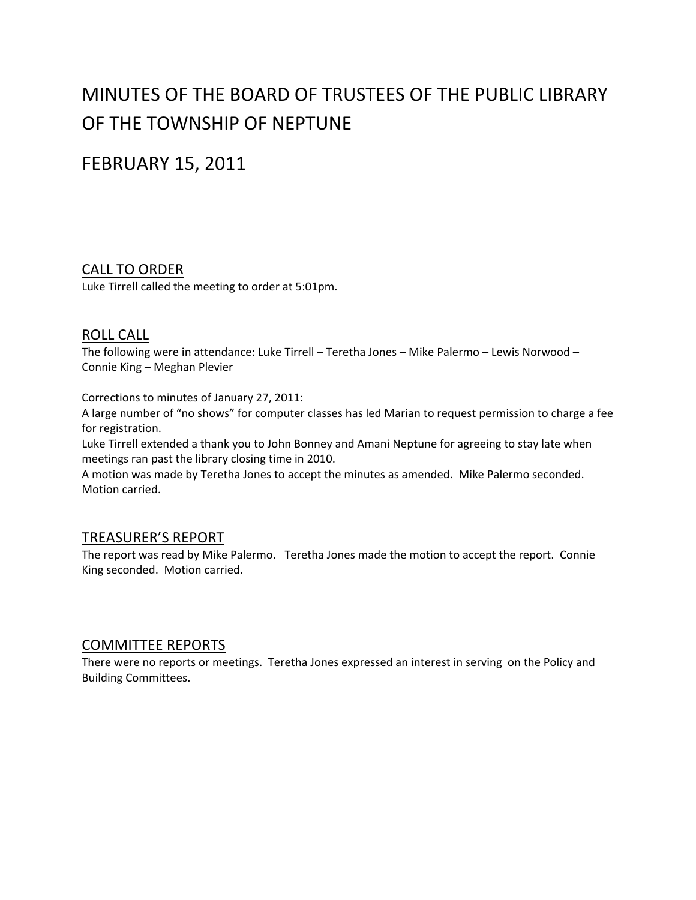# MINUTES OF THE BOARD OF TRUSTEES OF THE PUBLIC LIBRARY OF THE TOWNSHIP OF NEPTUNE

FEBRUARY 15, 2011

## CALL TO ORDER

Luke Tirrell called the meeting to order at 5:01pm.

#### ROLL CALL

The following were in attendance: Luke Tirrell – Teretha Jones – Mike Palermo – Lewis Norwood – Connie King – Meghan Plevier

Corrections to minutes of January 27, 2011:

A large number of "no shows" for computer classes has led Marian to request permission to charge a fee for registration.

Luke Tirrell extended a thank you to John Bonney and Amani Neptune for agreeing to stay late when meetings ran past the library closing time in 2010.

A motion was made by Teretha Jones to accept the minutes as amended. Mike Palermo seconded. Motion carried.

## TREASURER'S REPORT

The report was read by Mike Palermo. Teretha Jones made the motion to accept the report. Connie King seconded. Motion carried.

## COMMITTEE REPORTS

There were no reports or meetings. Teretha Jones expressed an interest in serving on the Policy and Building Committees.